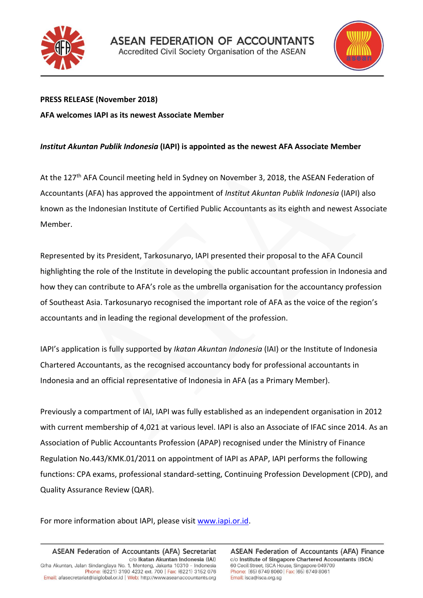



## **PRESS RELEASE (November 2018) AFA welcomes IAPI as its newest Associate Member**

## *Institut Akuntan Publik Indonesia* **(IAPI) is appointed as the newest AFA Associate Member**

At the 127<sup>th</sup> AFA Council meeting held in Sydney on November 3, 2018, the ASEAN Federation of Accountants (AFA) has approved the appointment of *Institut Akuntan Publik Indonesia* (IAPI) also known as the Indonesian Institute of Certified Public Accountants as its eighth and newest Associate Member.

Represented by its President, Tarkosunaryo, IAPI presented their proposal to the AFA Council highlighting the role of the Institute in developing the public accountant profession in Indonesia and how they can contribute to AFA's role as the umbrella organisation for the accountancy profession of Southeast Asia. Tarkosunaryo recognised the important role of AFA as the voice of the region's accountants and in leading the regional development of the profession.

IAPI's application is fully supported by *Ikatan Akuntan Indonesia* (IAI) or the Institute of Indonesia Chartered Accountants, as the recognised accountancy body for professional accountants in Indonesia and an official representative of Indonesia in AFA (as a Primary Member).

Previously a compartment of IAI, IAPI was fully established as an independent organisation in 2012 with current membership of 4,021 at various level. IAPI is also an Associate of IFAC since 2014. As an Association of Public Accountants Profession (APAP) recognised under the Ministry of Finance Regulation No.443/KMK.01/2011 on appointment of IAPI as APAP, IAPI performs the following functions: CPA exams, professional standard-setting, Continuing Profession Development (CPD), and Quality Assurance Review (QAR).

For more information about IAPI, please visi[t www.iapi.or.id.](http://www.iapi.or.id/)